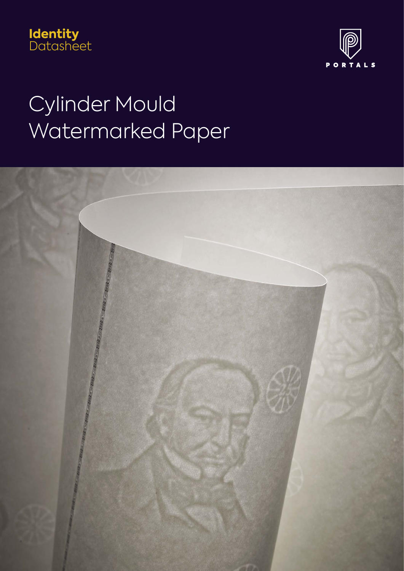



# Cylinder Mould Watermarked Paper